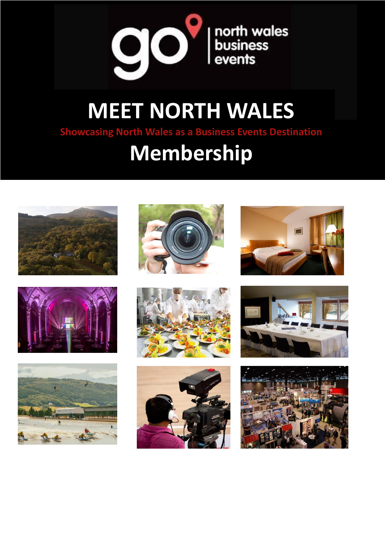

# **MEET NORTH WALES**

**Showcasing North Wales as a Business Events Destination**

# **Membership**

















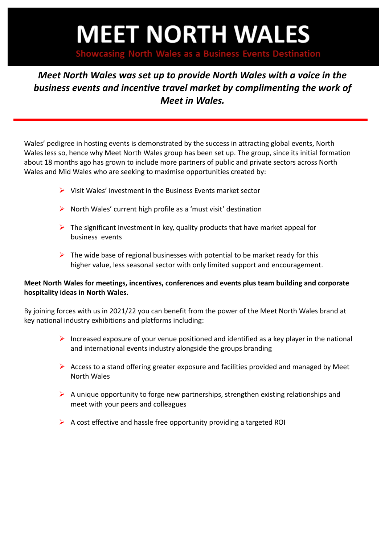# **MEET NORTH WALES**

Showcasing North Wales as a Business Events Destination

## *Meet North Wales was set up to provide North Wales with a voice in the business events and incentive travel market by complimenting the work of Meet in Wales.*

Wales' pedigree in hosting events is demonstrated by the success in attracting global events, North Wales less so, hence why Meet North Wales group has been set up. The group, since its initial formation about 18 months ago has grown to include more partners of public and private sectors across North Wales and Mid Wales who are seeking to maximise opportunities created by:

- $\triangleright$  Visit Wales' investment in the Business Events market sector
- $\triangleright$  North Wales' current high profile as a 'must visit' destination
- $\triangleright$  The significant investment in key, quality products that have market appeal for business events
- $\triangleright$  The wide base of regional businesses with potential to be market ready for this higher value, less seasonal sector with only limited support and encouragement.

#### **Meet North Wales for meetings, incentives, conferences and events plus team building and corporate hospitality ideas in North Wales.**

By joining forces with us in 2021/22 you can benefit from the power of the Meet North Wales brand at key national industry exhibitions and platforms including:

- Increased exposure of your venue positioned and identified as a key player in the national and international events industry alongside the groups branding
- $\triangleright$  Access to a stand offering greater exposure and facilities provided and managed by Meet North Wales
- $\triangleright$  A unique opportunity to forge new partnerships, strengthen existing relationships and meet with your peers and colleagues
- $\triangleright$  A cost effective and hassle free opportunity providing a targeted ROI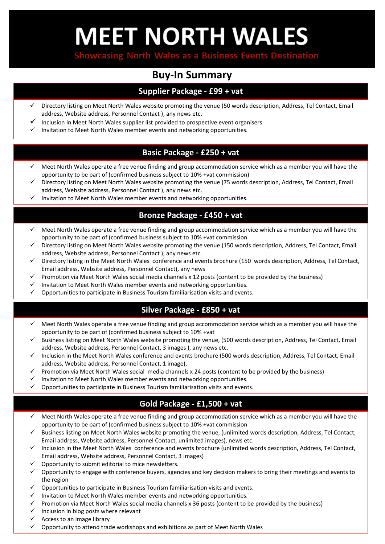# **MEET NORTH WALES**

Showcasing North Wales as a Business Events Destination

## **Buy-In Summary**

### **Supplier Package - £99 + vat**

- $\checkmark$  Directory listing on Meet North Wales website promoting the venue (50 words description, Address, Tel Contact, Email address, Website address, Personnel Contact ), any news etc.
- Inclusion in Meet North Wales supplier list provided to prospective event organisers
- Invitation to Meet North Wales member events and networking opportunities.

### **Basic Package - £250 + vat**

- $\checkmark$  Meet North Wales operate a free venue finding and group accommodation service which as a member you will have the opportunity to be part of (confirmed business subject to 10% +vat commission)
- Directory listing on Meet North Wales website promoting the venue (75 words description, Address, Tel Contact, Email address, Website address, Personnel Contact ), any news etc.
- $\checkmark$  Invitation to Meet North Wales member events and networking opportunities.

### **Bronze Package - £450 + vat**

- $\checkmark$  Meet North Wales operate a free venue finding and group accommodation service which as a member you will have the opportunity to be part of (confirmed business subject to 10% +vat commission
- Directory listing on Meet North Wales website promoting the venue (150 words description, Address, Tel Contact, Email address, Website address, Personnel Contact ), any news etc.
- Directory listing in the Meet North Wales conference and events brochure (150 words description, Address, Tel Contact, Email address, Website address, Personnel Contact), any news
- Promotion via Meet North Wales social media channels x 12 posts (content to be provided by the business)
- Invitation to Meet North Wales member events and networking opportunities.
- Opportunities to participate in Business Tourism familiarisation visits and events.

#### **Silver Package - £850 + vat**

- $\checkmark$  Meet North Wales operate a free venue finding and group accommodation service which as a member you will have the opportunity to be part of (confirmed business subject to 10% +vat
- Business listing on Meet North Wales website promoting the venue, (500 words description, Address, Tel Contact, Email address, Website address, Personnel Contact, 3 images ), any news etc.
- Inclusion in the Meet North Wales conference and events brochure (500 words description, Address, Tel Contact, Email address, Website address, Personnel Contact, 1 image),
- Promotion via Meet North Wales social media channels x 24 posts (content to be provided by the business)
- Invitation to Meet North Wales member events and networking opportunities.
- $\checkmark$  Opportunities to participate in Business Tourism familiarisation visits and events.

### **Gold Package - £1,500 + vat**

- $\checkmark$  Meet North Wales operate a free venue finding and group accommodation service which as a member you will have the opportunity to be part of (confirmed business subject to 10% +vat commission
- Business listing on Meet North Wales website promoting the venue, (unlimited words description, Address, Tel Contact, Email address, Website address, Personnel Contact, unlimited images), news etc.
- Inclusion in the Meet North Wales conference and events brochure (unlimited words description, Address, Tel Contact, Email address, Website address, Personnel Contact, 3 images)
- Opportunity to submit editorial to mice newsletters.
- $\checkmark$  Opportunity to engage with conference buyers, agencies and key decision makers to bring their meetings and events to the region
- Opportunities to participate in Business Tourism familiarisation visits and events.
- Invitation to Meet North Wales member events and networking opportunities.
- Promotion via Meet North Wales social media channels x 36 posts (content to be provided by the business)
- $\checkmark$  Inclusion in blog posts where relevant
- Access to an image library
- Opportunity to attend trade workshops and exhibitions as part of Meet North Wales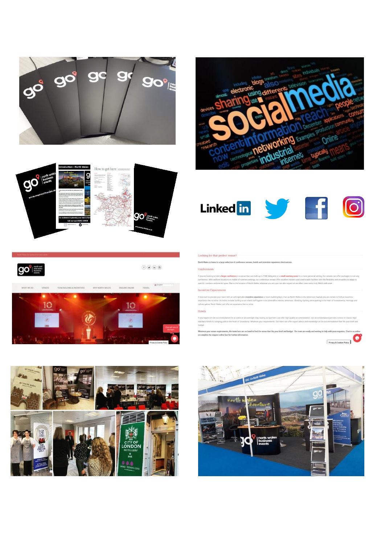







## gollen

 $\textcircled{1}\textcircled{1}\textcircled{1}\textcircled{2}$ 



#### Looking for that perfect venue?

North Wales is home to a large selection of co.

se Artistian include Sun

e the enquire online box for further info

O Privacy & Cookies Policy